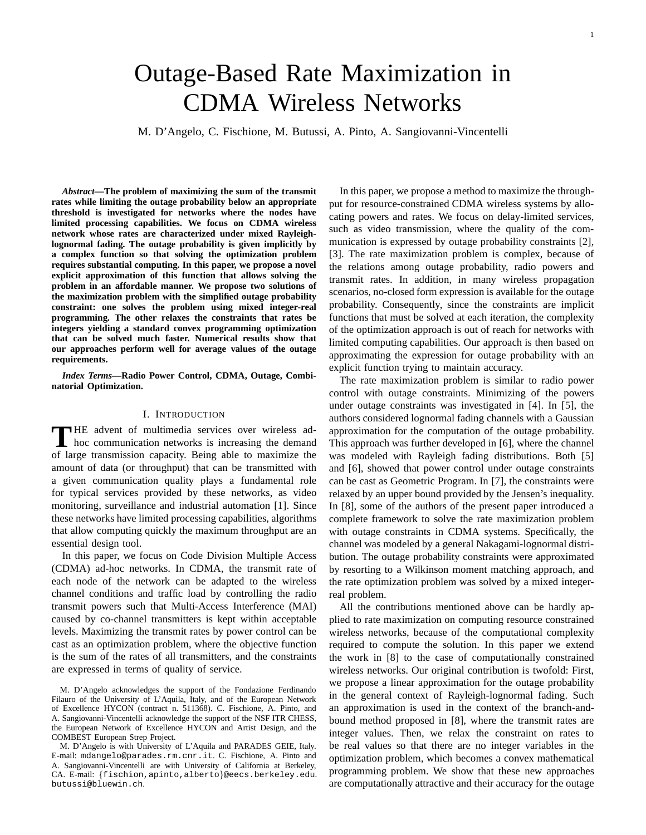# Outage-Based Rate Maximization in CDMA Wireless Networks

M. D'Angelo, C. Fischione, M. Butussi, A. Pinto, A. Sangiovanni-Vincentelli

*Abstract***—The problem of maximizing the sum of the transmit rates while limiting the outage probability below an appropriate threshold is investigated for networks where the nodes have limited processing capabilities. We focus on CDMA wireless network whose rates are characterized under mixed Rayleighlognormal fading. The outage probability is given implicitly by a complex function so that solving the optimization problem requires substantial computing. In this paper, we propose a novel explicit approximation of this function that allows solving the problem in an affordable manner. We propose two solutions of the maximization problem with the simplified outage probability constraint: one solves the problem using mixed integer-real programming. The other relaxes the constraints that rates be integers yielding a standard convex programming optimization that can be solved much faster. Numerical results show that our approaches perform well for average values of the outage requirements.**

*Index Terms***—Radio Power Control, CDMA, Outage, Combinatorial Optimization.**

#### I. INTRODUCTION

THE advent of multimedia services over wireless ad-<br>hoc communication networks is increasing the demand hoc communication networks is increasing the demand of large transmission capacity. Being able to maximize the amount of data (or throughput) that can be transmitted with a given communication quality plays a fundamental role for typical services provided by these networks, as video monitoring, surveillance and industrial automation [1]. Since these networks have limited processing capabilities, algorithms that allow computing quickly the maximum throughput are an essential design tool.

In this paper, we focus on Code Division Multiple Access (CDMA) ad-hoc networks. In CDMA, the transmit rate of each node of the network can be adapted to the wireless channel conditions and traffic load by controlling the radio transmit powers such that Multi-Access Interference (MAI) caused by co-channel transmitters is kept within acceptable levels. Maximizing the transmit rates by power control can be cast as an optimization problem, where the objective function is the sum of the rates of all transmitters, and the constraints are expressed in terms of quality of service.

In this paper, we propose a method to maximize the throughput for resource-constrained CDMA wireless systems by allocating powers and rates. We focus on delay-limited services, such as video transmission, where the quality of the communication is expressed by outage probability constraints [2], [3]. The rate maximization problem is complex, because of the relations among outage probability, radio powers and transmit rates. In addition, in many wireless propagation scenarios, no-closed form expression is available for the outage probability. Consequently, since the constraints are implicit functions that must be solved at each iteration, the complexity of the optimization approach is out of reach for networks with limited computing capabilities. Our approach is then based on approximating the expression for outage probability with an explicit function trying to maintain accuracy.

The rate maximization problem is similar to radio power control with outage constraints. Minimizing of the powers under outage constraints was investigated in [4]. In [5], the authors considered lognormal fading channels with a Gaussian approximation for the computation of the outage probability. This approach was further developed in [6], where the channel was modeled with Rayleigh fading distributions. Both [5] and [6], showed that power control under outage constraints can be cast as Geometric Program. In [7], the constraints were relaxed by an upper bound provided by the Jensen's inequality. In [8], some of the authors of the present paper introduced a complete framework to solve the rate maximization problem with outage constraints in CDMA systems. Specifically, the channel was modeled by a general Nakagami-lognormal distribution. The outage probability constraints were approximated by resorting to a Wilkinson moment matching approach, and the rate optimization problem was solved by a mixed integerreal problem.

All the contributions mentioned above can be hardly applied to rate maximization on computing resource constrained wireless networks, because of the computational complexity required to compute the solution. In this paper we extend the work in [8] to the case of computationally constrained wireless networks. Our original contribution is twofold: First, we propose a linear approximation for the outage probability in the general context of Rayleigh-lognormal fading. Such an approximation is used in the context of the branch-andbound method proposed in [8], where the transmit rates are integer values. Then, we relax the constraint on rates to be real values so that there are no integer variables in the optimization problem, which becomes a convex mathematical programming problem. We show that these new approaches are computationally attractive and their accuracy for the outage

M. D'Angelo acknowledges the support of the Fondazione Ferdinando Filauro of the University of L'Aquila, Italy, and of the European Network of Excellence HYCON (contract n. 511368). C. Fischione, A. Pinto, and A. Sangiovanni-Vincentelli acknowledge the support of the NSF ITR CHESS, the European Network of Excellence HYCON and Artist Design, and the COMBEST European Strep Project.

M. D'Angelo is with University of L'Aquila and PARADES GEIE, Italy. E-mail: mdangelo@parades.rm.cnr.it. C. Fischione, A. Pinto and A. Sangiovanni-Vincentelli are with University of California at Berkeley, CA. E-mail: {fischion,apinto,alberto}@eecs.berkeley.edu. butussi@bluewin.ch.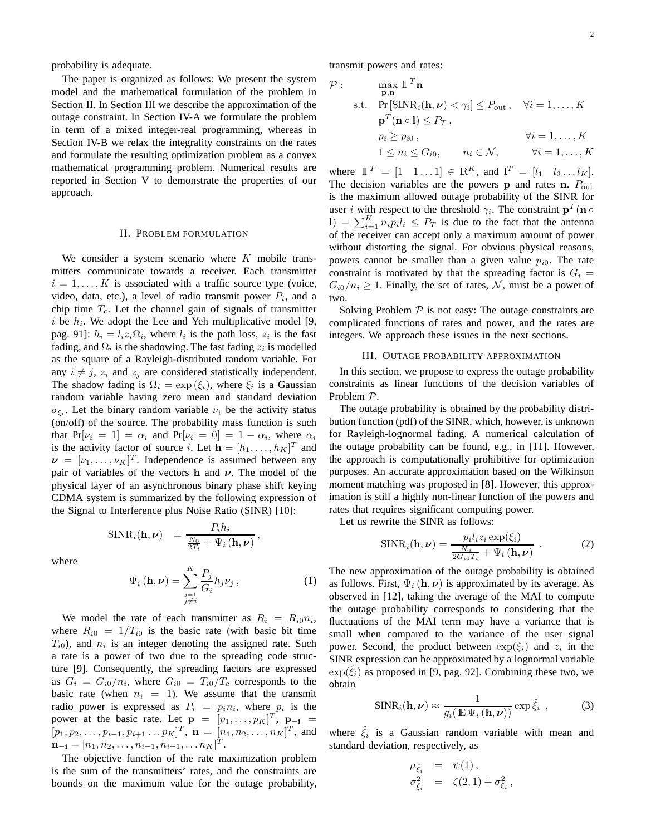probability is adequate.

The paper is organized as follows: We present the system model and the mathematical formulation of the problem in Section II. In Section III we describe the approximation of the outage constraint. In Section IV-A we formulate the problem in term of a mixed integer-real programming, whereas in Section IV-B we relax the integrality constraints on the rates and formulate the resulting optimization problem as a convex mathematical programming problem. Numerical results are reported in Section V to demonstrate the properties of our approach.

### II. PROBLEM FORMULATION

We consider a system scenario where  $K$  mobile transmitters communicate towards a receiver. Each transmitter  $i = 1, \ldots, K$  is associated with a traffic source type (voice, video, data, etc.), a level of radio transmit power  $P_i$ , and a chip time  $T_c$ . Let the channel gain of signals of transmitter i be  $h_i$ . We adopt the Lee and Yeh multiplicative model [9, pag. 91]:  $h_i = l_i z_i \Omega_i$ , where  $l_i$  is the path loss,  $z_i$  is the fast fading, and  $\Omega_i$  is the shadowing. The fast fading  $z_i$  is modelled as the square of a Rayleigh-distributed random variable. For any  $i \neq j$ ,  $z_i$  and  $z_j$  are considered statistically independent. The shadow fading is  $\Omega_i = \exp{(\xi_i)}$ , where  $\xi_i$  is a Gaussian random variable having zero mean and standard deviation  $\sigma_{\xi_i}$ . Let the binary random variable  $\nu_i$  be the activity status (on/off) of the source. The probability mass function is such that  $Pr[\nu_i = 1] = \alpha_i$  and  $Pr[\nu_i = 0] = 1 - \alpha_i$ , where  $\alpha_i$ is the activity factor of source *i*. Let  $\mathbf{h} = [h_1, \dots, h_K]^T$  and  $\nu = [\nu_1, \dots, \nu_K]^T$ . Independence is assumed between any pair of variables of the vectors h and  $\nu$ . The model of the physical layer of an asynchronous binary phase shift keying CDMA system is summarized by the following expression of the Signal to Interference plus Noise Ratio (SINR) [10]:

 $\text{SINR}_i(\mathbf{h}, \boldsymbol{\nu}) = \frac{P_i h_i}{\frac{N_0}{2T_i} + \Psi_i(\mathbf{h}, \boldsymbol{\nu})},$ 

where

$$
\Psi_i(\mathbf{h}, \nu) = \sum_{\substack{j=1 \ j \neq i}}^K \frac{P_j}{G_i} h_j \nu_j , \qquad (1)
$$

We model the rate of each transmitter as  $R_i = R_{i0} n_i$ , where  $R_{i0} = 1/T_{i0}$  is the basic rate (with basic bit time  $T_{i0}$ ), and  $n_i$  is an integer denoting the assigned rate. Such a rate is a power of two due to the spreading code structure [9]. Consequently, the spreading factors are expressed as  $G_i = G_{i0}/n_i$ , where  $G_{i0} = T_{i0}/T_c$  corresponds to the basic rate (when  $n_i = 1$ ). We assume that the transmit radio power is expressed as  $P_i = p_i n_i$ , where  $p_i$  is the power at the basic rate. Let  $\mathbf{p} = [p_1, \dots, p_K]^T$ ,  $\mathbf{p}_{-i} =$  $[p_1, p_2, \ldots, p_{i-1}, p_{i+1} \ldots p_K]^T$ ,  $\mathbf{n} = [n_1, n_2, \ldots, n_K]^T$ , and  $\mathbf{n}_{-i} = [n_1, n_2, \dots, n_{i-1}, n_{i+1}, \dots, n_K]^T.$ 

The objective function of the rate maximization problem is the sum of the transmitters' rates, and the constraints are bounds on the maximum value for the outage probability, transmit powers and rates:

$$
\mathcal{P}: \max_{\mathbf{p}, \mathbf{n}} \mathbb{1}^{T} \mathbf{n}
$$
  
s.t.  $\Pr[\text{SINR}_{i}(\mathbf{h}, \nu) < \gamma_{i}] \leq P_{\text{out}}, \quad \forall i = 1, ..., K$   
 $\mathbf{p}^{T}(\mathbf{n} \circ \mathbf{l}) \leq P_{T},$   
 $p_{i} \geq p_{i0}, \qquad \forall i = 1, ..., K$   
 $1 \leq n_{i} \leq G_{i0}, \qquad n_{i} \in \mathcal{N}, \qquad \forall i = 1, ..., K$ 

where  $\mathbb{1}^T = [1 \ 1 \dots 1] \in \mathbb{R}^K$ , and  $\mathbb{1}^T = [l_1 \ l_2 \dots l_K]$ . The decision variables are the powers **p** and rates **n**.  $P_{\text{out}}$ is the maximum allowed outage probability of the SINR for user *i* with respect to the threshold  $\gamma_i$ . The constraint  $p^T(n \circ$  $I = \sum_{i=1}^{K} n_i p_i l_i \leq P_T$  is due to the fact that the antenna of the receiver can accept only a maximum amount of power without distorting the signal. For obvious physical reasons, powers cannot be smaller than a given value  $p_{i0}$ . The rate constraint is motivated by that the spreading factor is  $G_i =$  $G_{i0}/n_i \geq 1$ . Finally, the set of rates, N, must be a power of two.

Solving Problem  $P$  is not easy: The outage constraints are complicated functions of rates and power, and the rates are integers. We approach these issues in the next sections.

#### III. OUTAGE PROBABILITY APPROXIMATION

In this section, we propose to express the outage probability constraints as linear functions of the decision variables of Problem P.

The outage probability is obtained by the probability distribution function (pdf) of the SINR, which, however, is unknown for Rayleigh-lognormal fading. A numerical calculation of the outage probability can be found, e.g., in [11]. However, the approach is computationally prohibitive for optimization purposes. An accurate approximation based on the Wilkinson moment matching was proposed in [8]. However, this approximation is still a highly non-linear function of the powers and rates that requires significant computing power.

Let us rewrite the SINR as follows:

$$
SINR_i(\mathbf{h}, \nu) = \frac{p_i l_i z_i \exp(\xi_i)}{\frac{N_0}{2G_{i0}T_c} + \Psi_i(\mathbf{h}, \nu)} \ . \tag{2}
$$

The new approximation of the outage probability is obtained as follows. First,  $\Psi_i$  (h,  $\nu$ ) is approximated by its average. As observed in [12], taking the average of the MAI to compute the outage probability corresponds to considering that the fluctuations of the MAI term may have a variance that is small when compared to the variance of the user signal power. Second, the product between  $\exp(\xi_i)$  and  $z_i$  in the SINR expression can be approximated by a lognormal variable  $\exp(\xi_i)$  as proposed in [9, pag. 92]. Combining these two, we obtain

$$
\text{SINR}_{i}(\mathbf{h}, \nu) \approx \frac{1}{g_i(\mathbb{E}\,\Psi_i\,(\mathbf{h}, \nu))} \exp{\hat{\xi}_i} \tag{3}
$$

where  $\hat{\xi}_i$  is a Gaussian random variable with mean and standard deviation, respectively, as

$$
\mu_{\hat{\xi}_i} = \psi(1),
$$
  
\n
$$
\sigma_{\hat{\xi}_i}^2 = \zeta(2,1) + \sigma_{\xi_i}^2,
$$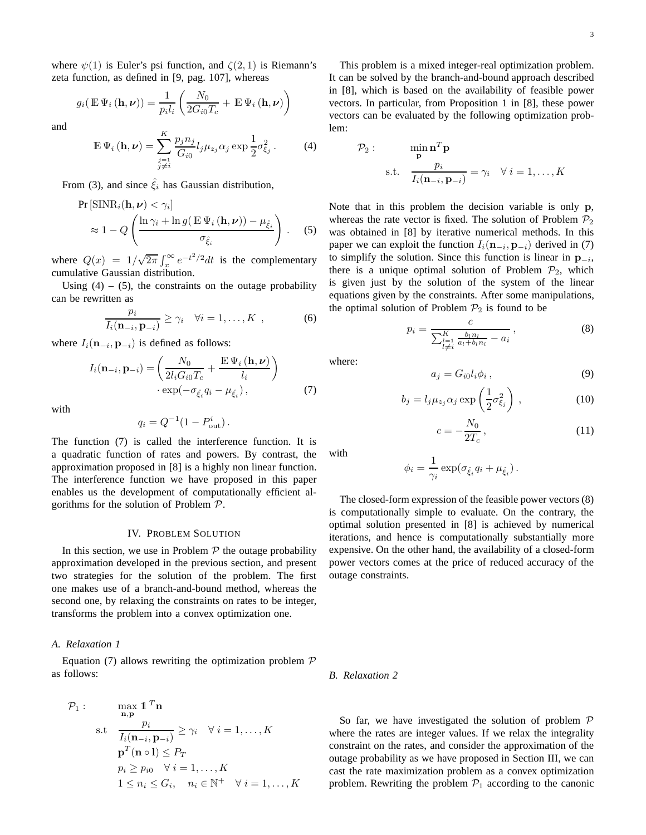where  $\psi(1)$  is Euler's psi function, and  $\zeta(2, 1)$  is Riemann's zeta function, as defined in [9, pag. 107], whereas

$$
g_i(\mathbb{E}\,\Psi_i\left(\mathbf{h},\boldsymbol{\nu}\right))=\frac{1}{p_il_i}\left(\frac{N_0}{2G_{i0}T_c}+\mathbb{E}\,\Psi_i\left(\mathbf{h},\boldsymbol{\nu}\right)\right)
$$

and

$$
\mathbb{E}\,\Psi_i\left(\mathbf{h},\boldsymbol{\nu}\right) = \sum_{\substack{j=1\\j\neq i}}^K \frac{p_j n_j}{G_{i0}} l_j \mu_{z_j} \alpha_j \exp\frac{1}{2} \sigma_{\xi_j}^2. \tag{4}
$$

From (3), and since  $\hat{\xi}_i$  has Gaussian distribution,

$$
\Pr\left[\text{SINR}_{i}(\mathbf{h}, \boldsymbol{\nu}) < \gamma_{i}\right] \approx 1 - Q\left(\frac{\ln \gamma_{i} + \ln g(\mathbb{E} \Psi_{i}(\mathbf{h}, \boldsymbol{\nu})) - \mu_{\hat{\xi}_{i}}}{\sigma_{\hat{\xi}_{i}}}\right). \quad (5)
$$

where  $Q(x) = 1/\sqrt{2\pi} \int_x^{\infty} e^{-t^2/2} dt$  is the complementary cumulative Gaussian distribution.

Using  $(4) - (5)$ , the constraints on the outage probability can be rewritten as

$$
\frac{p_i}{I_i(\mathbf{n}_{-i}, \mathbf{p}_{-i})} \ge \gamma_i \quad \forall i = 1, \dots, K \tag{6}
$$

where  $I_i(\mathbf{n}_{-i}, \mathbf{p}_{-i})$  is defined as follows:

$$
I_i(\mathbf{n}_{-i}, \mathbf{p}_{-i}) = \left(\frac{N_0}{2l_iG_{i0}T_c} + \frac{\mathbb{E}\,\Psi_i\left(\mathbf{h}, \boldsymbol{\nu}\right)}{l_i}\right) \cdot \exp(-\sigma_{\hat{\xi}_i}q_i - \mu_{\hat{\xi}_i}), \tag{7}
$$

with

$$
q_i = Q^{-1}(1 - P_{\text{out}}^i).
$$

The function (7) is called the interference function. It is a quadratic function of rates and powers. By contrast, the approximation proposed in [8] is a highly non linear function. The interference function we have proposed in this paper enables us the development of computationally efficient algorithms for the solution of Problem P.

### IV. PROBLEM SOLUTION

In this section, we use in Problem  $P$  the outage probability approximation developed in the previous section, and present two strategies for the solution of the problem. The first one makes use of a branch-and-bound method, whereas the second one, by relaxing the constraints on rates to be integer, transforms the problem into a convex optimization one.

## *A. Relaxation 1*

Equation (7) allows rewriting the optimization problem  $P$ as follows:

$$
\mathcal{P}_1: \quad \max_{\mathbf{n}, \mathbf{p}} \mathbb{1}^T \mathbf{n}
$$
\n
$$
\text{s.t} \quad \frac{p_i}{I_i(\mathbf{n} - i, \mathbf{p} - i)} \ge \gamma_i \quad \forall \ i = 1, \dots, K
$$
\n
$$
\mathbf{p}^T(\mathbf{n} \circ \mathbf{l}) \le P_T
$$
\n
$$
p_i \ge p_{i0} \quad \forall \ i = 1, \dots, K
$$
\n
$$
1 \le n_i \le G_i, \quad n_i \in \mathbb{N}^+ \quad \forall \ i = 1, \dots, K
$$

This problem is a mixed integer-real optimization problem. It can be solved by the branch-and-bound approach described in [8], which is based on the availability of feasible power vectors. In particular, from Proposition 1 in [8], these power vectors can be evaluated by the following optimization problem:

$$
\mathcal{P}_2: \qquad \min_{\mathbf{p}} \mathbf{n}^T \mathbf{p}
$$
  
s.t. 
$$
\frac{p_i}{I_i(\mathbf{n}_{-i}, \mathbf{p}_{-i})} = \gamma_i \quad \forall \ i = 1, ..., K
$$

Note that in this problem the decision variable is only p, whereas the rate vector is fixed. The solution of Problem  $\mathcal{P}_2$ was obtained in [8] by iterative numerical methods. In this paper we can exploit the function  $I_i(\mathbf{n}_{-i}, \mathbf{p}_{-i})$  derived in (7) to simplify the solution. Since this function is linear in  $\mathbf{p}_{-i}$ , there is a unique optimal solution of Problem  $\mathcal{P}_2$ , which is given just by the solution of the system of the linear equations given by the constraints. After some manipulations, the optimal solution of Problem  $\mathcal{P}_2$  is found to be

$$
p_i = \frac{c}{\sum_{\substack{l=1 \ l \neq i}}^K \frac{b_l n_l}{a_l + b_l n_l} - a_i},\tag{8}
$$

where:

$$
a_j = G_{i0} l_i \phi_i , \qquad (9)
$$

$$
b_j = l_j \mu_{z_j} \alpha_j \exp\left(\frac{1}{2}\sigma_{\xi_j}^2\right) , \qquad (10)
$$

$$
c = -\frac{N_0}{2T_c},\tag{11}
$$

with

$$
\phi_i = \frac{1}{\gamma_i} \exp(\sigma_{\hat{\xi}_i} q_i + \mu_{\hat{\xi}_i}).
$$

The closed-form expression of the feasible power vectors (8) is computationally simple to evaluate. On the contrary, the optimal solution presented in [8] is achieved by numerical iterations, and hence is computationally substantially more expensive. On the other hand, the availability of a closed-form power vectors comes at the price of reduced accuracy of the outage constraints.

*B. Relaxation 2*

So far, we have investigated the solution of problem  $P$ where the rates are integer values. If we relax the integrality constraint on the rates, and consider the approximation of the outage probability as we have proposed in Section III, we can cast the rate maximization problem as a convex optimization problem. Rewriting the problem  $P_1$  according to the canonic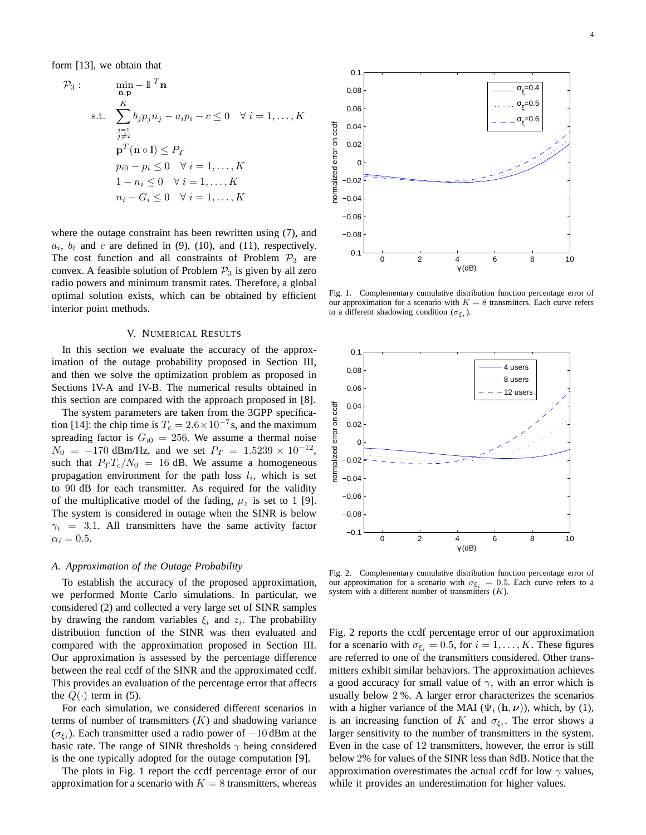form [13], we obtain that

$$
\mathcal{P}_3: \quad \min_{\mathbf{n}, \mathbf{p}} -\mathbb{1}^T \mathbf{n}
$$
\n
$$
\text{s.t.} \quad \sum_{\substack{j=1 \ j \neq i}}^K b_j p_j n_j - a_i p_i - c \le 0 \quad \forall \ i = 1, \dots, K
$$
\n
$$
\mathbf{p}^T(\mathbf{n} \circ \mathbf{l}) \le P_T
$$
\n
$$
p_{i0} - p_i \le 0 \quad \forall \ i = 1, \dots, K
$$
\n
$$
1 - n_i \le 0 \quad \forall \ i = 1, \dots, K
$$
\n
$$
n_i - G_i \le 0 \quad \forall \ i = 1, \dots, K
$$

where the outage constraint has been rewritten using (7), and  $a_i$ ,  $b_i$  and c are defined in (9), (10), and (11), respectively. The cost function and all constraints of Problem  $P_3$  are convex. A feasible solution of Problem  $P_3$  is given by all zero radio powers and minimum transmit rates. Therefore, a global optimal solution exists, which can be obtained by efficient interior point methods.

#### V. NUMERICAL RESULTS

In this section we evaluate the accuracy of the approximation of the outage probability proposed in Section III, and then we solve the optimization problem as proposed in Sections IV-A and IV-B. The numerical results obtained in this section are compared with the approach proposed in [8].

The system parameters are taken from the 3GPP specification [14]: the chip time is  $T_c = 2.6 \times 10^{-7}$  s, and the maximum spreading factor is  $G_{i0} = 256$ . We assume a thermal noise  $N_0 = -170$  dBm/Hz, and we set  $P_T = 1.5239 \times 10^{-12}$ , such that  $P_T T_c/N_0 = 16$  dB. We assume a homogeneous propagation environment for the path loss  $l_i$ , which is set to 90 dB for each transmitter. As required for the validity of the multiplicative model of the fading,  $\mu_z$  is set to 1 [9]. The system is considered in outage when the SINR is below  $\gamma_i$  = 3.1. All transmitters have the same activity factor  $\alpha_i = 0.5$ .

#### *A. Approximation of the Outage Probability*

To establish the accuracy of the proposed approximation, we performed Monte Carlo simulations. In particular, we considered (2) and collected a very large set of SINR samples by drawing the random variables  $\xi_i$  and  $z_i$ . The probability distribution function of the SINR was then evaluated and compared with the approximation proposed in Section III. Our approximation is assessed by the percentage difference between the real ccdf of the SINR and the approximated ccdf. This provides an evaluation of the percentage error that affects the  $Q(\cdot)$  term in (5).

For each simulation, we considered different scenarios in terms of number of transmitters  $(K)$  and shadowing variance  $(\sigma_{\xi_i})$ . Each transmitter used a radio power of  $-10$  dBm at the basic rate. The range of SINR thresholds  $\gamma$  being considered is the one typically adopted for the outage computation [9].

The plots in Fig. 1 report the ccdf percentage error of our approximation for a scenario with  $K = 8$  transmitters, whereas



Fig. 1. Complementary cumulative distribution function percentage error of our approximation for a scenario with  $K = 8$  transmitters. Each curve refers to a different shadowing condition ( $\sigma_{\xi_i}$ ).



Fig. 2. Complementary cumulative distribution function percentage error of our approximation for a scenario with  $\sigma_{\xi_i} = 0.5$ . Each curve refers to a system with a different number of transmitters  $(K)$ .

Fig. 2 reports the ccdf percentage error of our approximation for a scenario with  $\sigma_{\xi_i} = 0.5$ , for  $i = 1, \dots, K$ . These figures are referred to one of the transmitters considered. Other transmitters exhibit similar behaviors. The approximation achieves a good accuracy for small value of  $\gamma$ , with an error which is usually below 2 %. A larger error characterizes the scenarios with a higher variance of the MAI ( $\Psi_i$  (h,  $\nu$ )), which, by (1), is an increasing function of K and  $\sigma_{\xi_i}$ . The error shows a larger sensitivity to the number of transmitters in the system. Even in the case of 12 transmitters, however, the error is still below 2% for values of the SINR less than 8dB. Notice that the approximation overestimates the actual ccdf for low  $\gamma$  values, while it provides an underestimation for higher values.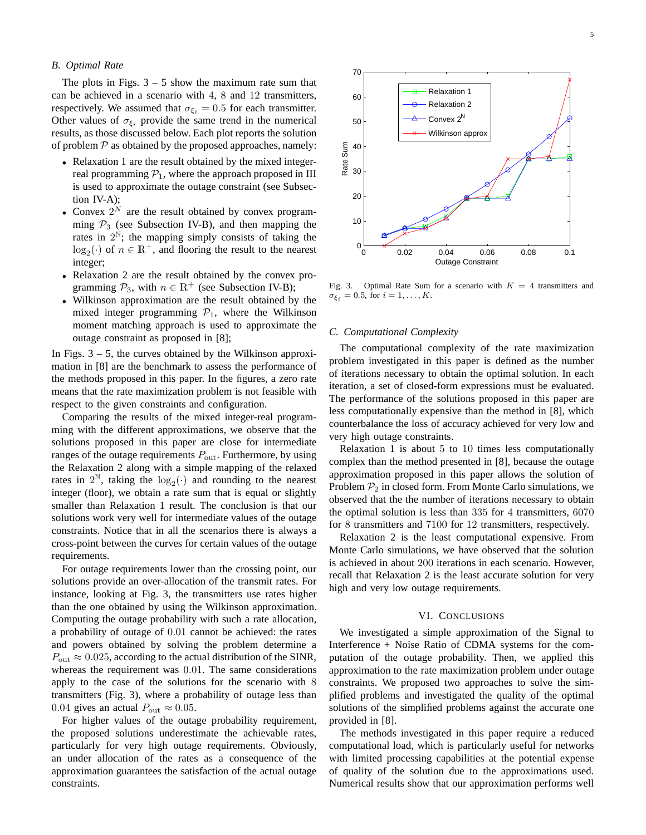### *B. Optimal Rate*

The plots in Figs.  $3 - 5$  show the maximum rate sum that can be achieved in a scenario with 4, 8 and 12 transmitters, respectively. We assumed that  $\sigma_{\xi_i} = 0.5$  for each transmitter. Other values of  $\sigma_{\xi_i}$  provide the same trend in the numerical results, as those discussed below. Each plot reports the solution of problem  $P$  as obtained by the proposed approaches, namely:

- Relaxation 1 are the result obtained by the mixed integerreal programming  $P_1$ , where the approach proposed in III is used to approximate the outage constraint (see Subsection IV-A);
- Convex  $2^N$  are the result obtained by convex programming  $\mathcal{P}_3$  (see Subsection IV-B), and then mapping the rates in  $2^{\tilde{N}}$ ; the mapping simply consists of taking the  $\log_2(\cdot)$  of  $n \in \mathbb{R}^+$ , and flooring the result to the nearest integer;
- Relaxation 2 are the result obtained by the convex programming  $P_3$ , with  $n \in \mathbb{R}^+$  (see Subsection IV-B);
- Wilkinson approximation are the result obtained by the mixed integer programming  $P_1$ , where the Wilkinson moment matching approach is used to approximate the outage constraint as proposed in [8];

In Figs.  $3 - 5$ , the curves obtained by the Wilkinson approximation in [8] are the benchmark to assess the performance of the methods proposed in this paper. In the figures, a zero rate means that the rate maximization problem is not feasible with respect to the given constraints and configuration.

Comparing the results of the mixed integer-real programming with the different approximations, we observe that the solutions proposed in this paper are close for intermediate ranges of the outage requirements  $P_{\text{out}}$ . Furthermore, by using the Relaxation 2 along with a simple mapping of the relaxed rates in  $2^{\mathbb{N}}$ , taking the  $\log_2(\cdot)$  and rounding to the nearest integer (floor), we obtain a rate sum that is equal or slightly smaller than Relaxation 1 result. The conclusion is that our solutions work very well for intermediate values of the outage constraints. Notice that in all the scenarios there is always a cross-point between the curves for certain values of the outage requirements.

For outage requirements lower than the crossing point, our solutions provide an over-allocation of the transmit rates. For instance, looking at Fig. 3, the transmitters use rates higher than the one obtained by using the Wilkinson approximation. Computing the outage probability with such a rate allocation, a probability of outage of 0.01 cannot be achieved: the rates and powers obtained by solving the problem determine a  $P_{\text{out}} \approx 0.025$ , according to the actual distribution of the SINR, whereas the requirement was 0.01. The same considerations apply to the case of the solutions for the scenario with 8 transmitters (Fig. 3), where a probability of outage less than 0.04 gives an actual  $P_{\text{out}} \approx 0.05$ .

For higher values of the outage probability requirement, the proposed solutions underestimate the achievable rates, particularly for very high outage requirements. Obviously, an under allocation of the rates as a consequence of the approximation guarantees the satisfaction of the actual outage constraints.



Fig. 3. Optimal Rate Sum for a scenario with  $K = 4$  transmitters and  $\sigma_{\xi_i} = 0.5$ , for  $i = 1, ..., K$ .

# *C. Computational Complexity*

The computational complexity of the rate maximization problem investigated in this paper is defined as the number of iterations necessary to obtain the optimal solution. In each iteration, a set of closed-form expressions must be evaluated. The performance of the solutions proposed in this paper are less computationally expensive than the method in [8], which counterbalance the loss of accuracy achieved for very low and very high outage constraints.

Relaxation 1 is about 5 to 10 times less computationally complex than the method presented in [8], because the outage approximation proposed in this paper allows the solution of Problem  $P_2$  in closed form. From Monte Carlo simulations, we observed that the the number of iterations necessary to obtain the optimal solution is less than 335 for 4 transmitters, 6070 for 8 transmitters and 7100 for 12 transmitters, respectively.

Relaxation 2 is the least computational expensive. From Monte Carlo simulations, we have observed that the solution is achieved in about 200 iterations in each scenario. However, recall that Relaxation 2 is the least accurate solution for very high and very low outage requirements.

## VI. CONCLUSIONS

We investigated a simple approximation of the Signal to Interference + Noise Ratio of CDMA systems for the computation of the outage probability. Then, we applied this approximation to the rate maximization problem under outage constraints. We proposed two approaches to solve the simplified problems and investigated the quality of the optimal solutions of the simplified problems against the accurate one provided in [8].

The methods investigated in this paper require a reduced computational load, which is particularly useful for networks with limited processing capabilities at the potential expense of quality of the solution due to the approximations used. Numerical results show that our approximation performs well